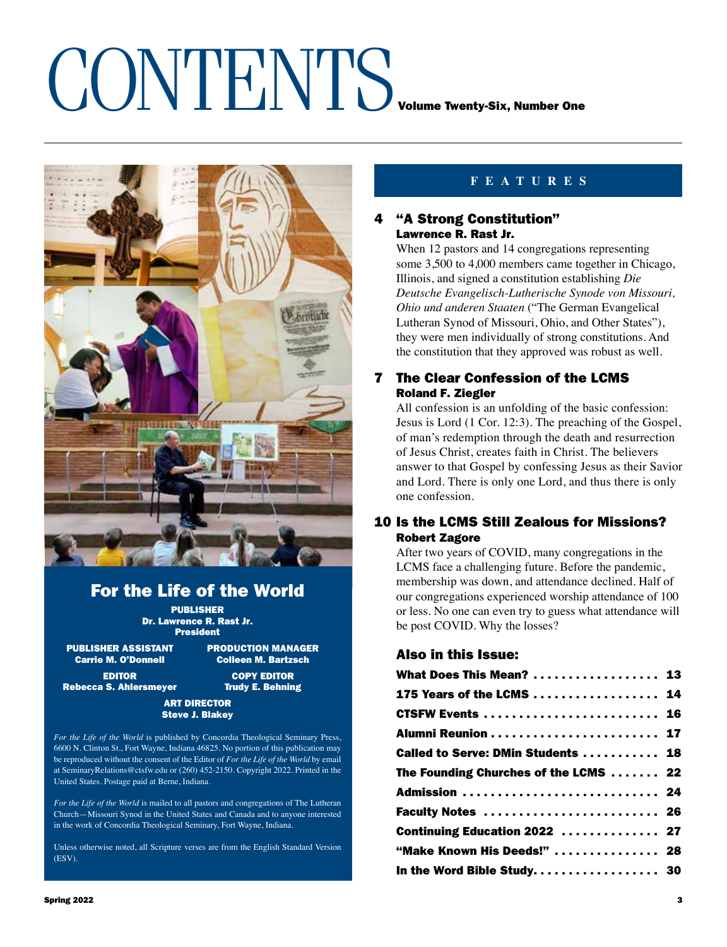### CONTENTS<sub>Volume Twenty-Six, Number One</sub>



### For the Life of the World

PUBLISHER Dr. Lawrence R. Rast Jr. President

PUBLISHER ASSISTANT PRODUCTION MANAGER<br>Carrie M. O'Donnell Colleen M. Bartzsch

**Colleen M. Bartzsch** EDITOR COPY EDITOR

Rebecca S. Ahlersmeyer Trudy E. Behning

ART DIRECTOR Steve J. Blakey

*For the Life of the World* is published by Concordia Theological Seminary Press, 6600 N. Clinton St., Fort Wayne, Indiana 46825. No portion of this publication may be reproduced without the consent of the Editor of *For the Life of the World* by email at SeminaryRelations@ctsfw.edu or (260) 452-2150. Copyright 2022. Printed in the United States. Postage paid at Berne, Indiana.

*For the Life of the World* is mailed to all pastors and congregations of The Lutheran Church—Missouri Synod in the United States and Canada and to anyone interested in the work of Concordia Theological Seminary, Fort Wayne, Indiana.

Unless otherwise noted, all Scripture verses are from the English Standard Version (ESV).

### **FEATURES**

### 4 "A Strong Constitution" Lawrence R. Rast Jr.

When 12 pastors and 14 congregations representing some 3,500 to 4,000 members came together in Chicago, Illinois, and signed a constitution establishing *Die Deutsche Evangelisch-Lutherische Synode von Missouri, Ohio und anderen Staaten* ("The German Evangelical Lutheran Synod of Missouri, Ohio, and Other States"), they were men individually of strong constitutions. And the constitution that they approved was robust as well.

### 7 The Clear Confession of the LCMS Roland F. Ziegler

All confession is an unfolding of the basic confession: Jesus is Lord (1 Cor. 12:3). The preaching of the Gospel, of man's redemption through the death and resurrection of Jesus Christ, creates faith in Christ. The believers answer to that Gospel by confessing Jesus as their Savior and Lord. There is only one Lord, and thus there is only one confession.

### 10 Is the LCMS Still Zealous for Missions? Robert Zagore

After two years of COVID, many congregations in the LCMS face a challenging future. Before the pandemic, membership was down, and attendance declined. Half of our congregations experienced worship attendance of 100 or less. No one can even try to guess what attendance will be post COVID. Why the losses?

### Also in this Issue:

| What Does This Mean?  13              |  |
|---------------------------------------|--|
| 175 Years of the LCMS  14             |  |
| <b>CTSFW Events  16</b>               |  |
|                                       |  |
| Called to Serve: DMin Students  18    |  |
| The Founding Churches of the LCMS  22 |  |
| Admission  24                         |  |
| Faculty Notes  26                     |  |
| <b>Continuing Education 2022  27</b>  |  |
| "Make Known His Deeds!"  28           |  |
| In the Word Bible Study 30            |  |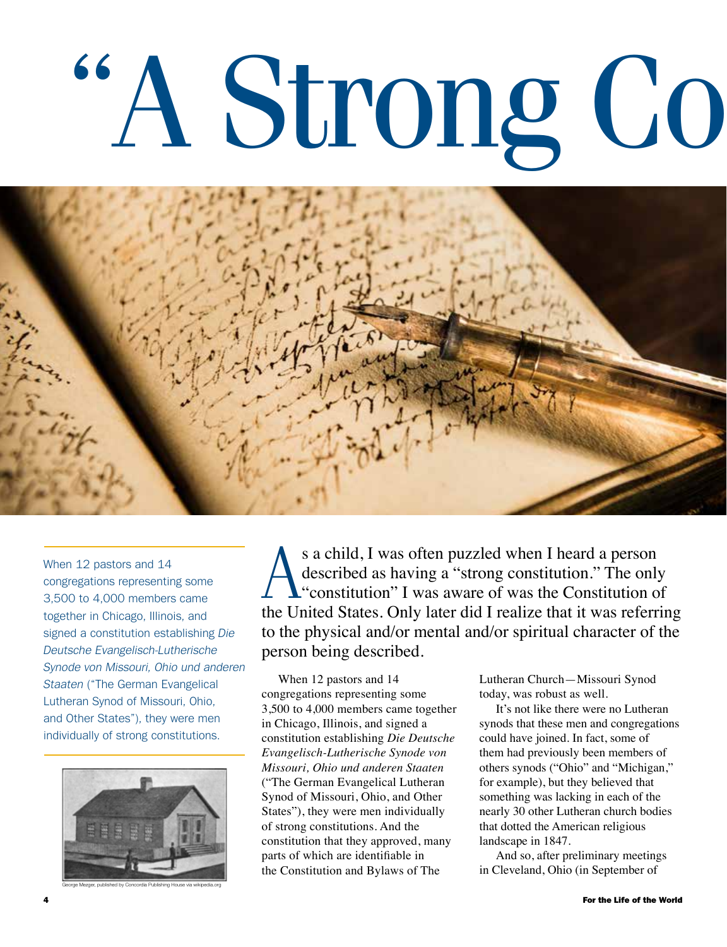# . Strong Co



When 12 pastors and 14 congregations representing some 3,500 to 4,000 members came together in Chicago, Illinois, and signed a constitution establishing *Die Deutsche Evangelisch-Lutherische Synode von Missouri, Ohio und anderen Staaten* ("The German Evangelical Lutheran Synod of Missouri, Ohio, and Other States"), they were men individually of strong constitutions.



Mezger, published by Concordia Publi

s a child, I was often puzzled when I heard a person<br>described as having a "strong constitution." The only<br>"constitution" I was aware of was the Constitution of described as having a "strong constitution." The only **L** "constitution" I was aware of was the Constitution of the United States. Only later did I realize that it was referring to the physical and/or mental and/or spiritual character of the person being described.

When 12 pastors and 14 congregations representing some 3,500 to 4,000 members came together in Chicago, Illinois, and signed a constitution establishing *Die Deutsche Evangelisch-Lutherische Synode von Missouri, Ohio und anderen Staaten* ("The German Evangelical Lutheran Synod of Missouri, Ohio, and Other States"), they were men individually of strong constitutions. And the constitution that they approved, many parts of which are identifiable in the Constitution and Bylaws of The

Lutheran Church—Missouri Synod today, was robust as well.

It's not like there were no Lutheran synods that these men and congregations could have joined. In fact, some of them had previously been members of others synods ("Ohio" and "Michigan," for example), but they believed that something was lacking in each of the nearly 30 other Lutheran church bodies that dotted the American religious landscape in 1847.

And so, after preliminary meetings in Cleveland, Ohio (in September of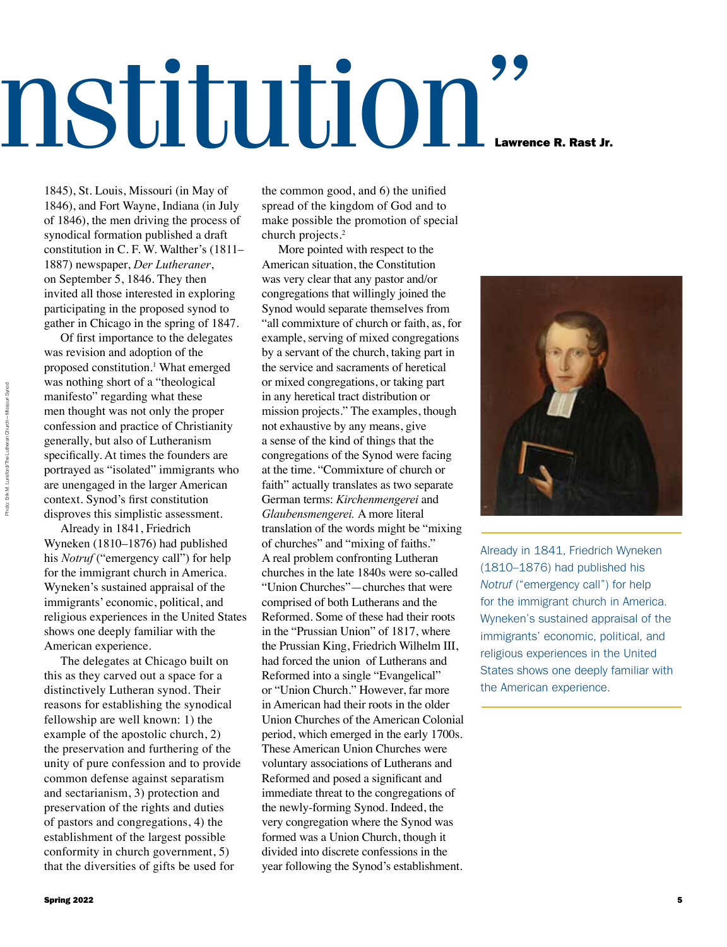## nstitution'

1845), St. Louis, Missouri (in May of 1846), and Fort Wayne, Indiana (in July of 1846), the men driving the process of synodical formation published a draft constitution in C. F. W. Walther's (1811– 1887) newspaper, *Der Lutheraner*, on September 5, 1846. They then invited all those interested in exploring participating in the proposed synod to gather in Chicago in the spring of 1847.

Of first importance to the delegates was revision and adoption of the proposed constitution.<sup>1</sup> What emerged was nothing short of a "theological manifesto" regarding what these men thought was not only the proper confession and practice of Christianity generally, but also of Lutheranism specifically. At times the founders are portrayed as "isolated" immigrants who are unengaged in the larger American context. Synod's first constitution disproves this simplistic assessment.

Already in 1841, Friedrich Wyneken (1810–1876) had published his *Notruf* ("emergency call") for help for the immigrant church in America. Wyneken's sustained appraisal of the immigrants' economic, political, and religious experiences in the United States shows one deeply familiar with the American experience.

The delegates at Chicago built on this as they carved out a space for a distinctively Lutheran synod. Their reasons for establishing the synodical fellowship are well known: 1) the example of the apostolic church, 2) the preservation and furthering of the unity of pure confession and to provide common defense against separatism and sectarianism, 3) protection and preservation of the rights and duties of pastors and congregations, 4) the establishment of the largest possible conformity in church government, 5) that the diversities of gifts be used for

the common good, and 6) the unified spread of the kingdom of God and to make possible the promotion of special church projects.2

More pointed with respect to the American situation, the Constitution was very clear that any pastor and/or congregations that willingly joined the Synod would separate themselves from "all commixture of church or faith, as, for example, serving of mixed congregations by a servant of the church, taking part in the service and sacraments of heretical or mixed congregations, or taking part in any heretical tract distribution or mission projects." The examples, though not exhaustive by any means, give a sense of the kind of things that the congregations of the Synod were facing at the time. "Commixture of church or faith" actually translates as two separate German terms: *Kirchenmengerei* and *Glaubensmengerei.* A more literal translation of the words might be "mixing of churches" and "mixing of faiths." A real problem confronting Lutheran churches in the late 1840s were so-called "Union Churches"—churches that were comprised of both Lutherans and the Reformed. Some of these had their roots in the "Prussian Union" of 1817, where the Prussian King, Friedrich Wilhelm III, had forced the union of Lutherans and Reformed into a single "Evangelical" or "Union Church." However, far more in American had their roots in the older Union Churches of the American Colonial period, which emerged in the early 1700s. These American Union Churches were voluntary associations of Lutherans and Reformed and posed a significant and immediate threat to the congregations of the newly-forming Synod. Indeed, the very congregation where the Synod was formed was a Union Church, though it divided into discrete confessions in the year following the Synod's establishment.



Already in 1841, Friedrich Wyneken (1810–1876) had published his *Notruf* ("emergency call") for help for the immigrant church in America. Wyneken's sustained appraisal of the immigrants' economic, political, and religious experiences in the United States shows one deeply familiar with the American experience.